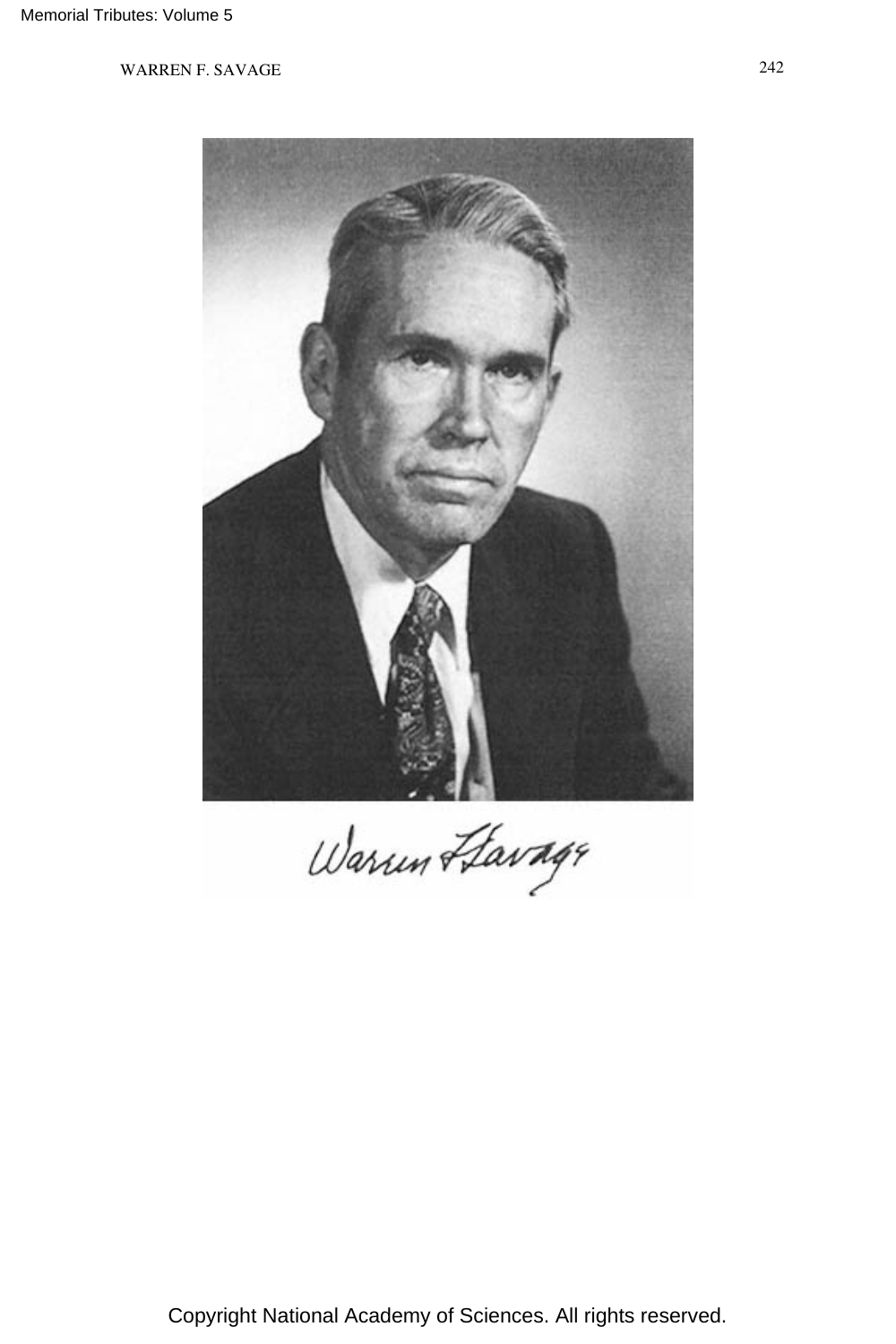

Warun Havage

Copyright National Academy of Sciences. All rights reserved.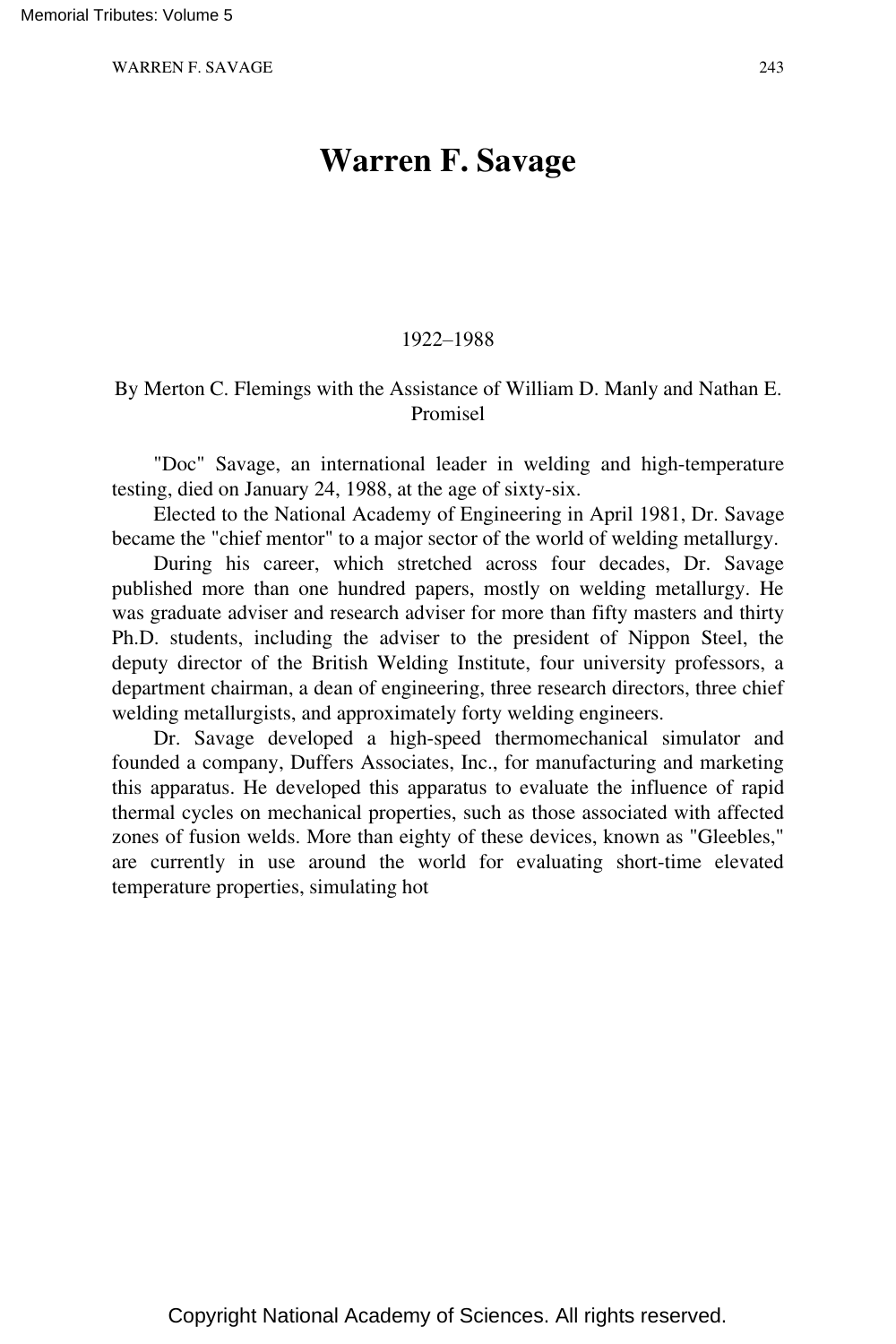# **Warren F. Savage**

### 1922–1988

## By Merton C. Flemings with the Assistance of William D. Manly and Nathan E. Promisel

"Doc" Savage, an international leader in welding and high-temperature testing, died on January 24, 1988, at the age of sixty-six.

Elected to the National Academy of Engineering in April 1981, Dr. Savage became the "chief mentor" to a major sector of the world of welding metallurgy.

During his career, which stretched across four decades, Dr. Savage published more than one hundred papers, mostly on welding metallurgy. He was graduate adviser and research adviser for more than fifty masters and thirty Ph.D. students, including the adviser to the president of Nippon Steel, the deputy director of the British Welding Institute, four university professors, a department chairman, a dean of engineering, three research directors, three chief welding metallurgists, and approximately forty welding engineers.

Dr. Savage developed a high-speed thermomechanical simulator and founded a company, Duffers Associates, Inc., for manufacturing and marketing this apparatus. He developed this apparatus to evaluate the influence of rapid thermal cycles on mechanical properties, such as those associated with affected zones of fusion welds. More than eighty of these devices, known as "Gleebles," are currently in use around the world for evaluating short-time elevated temperature properties, simulating hot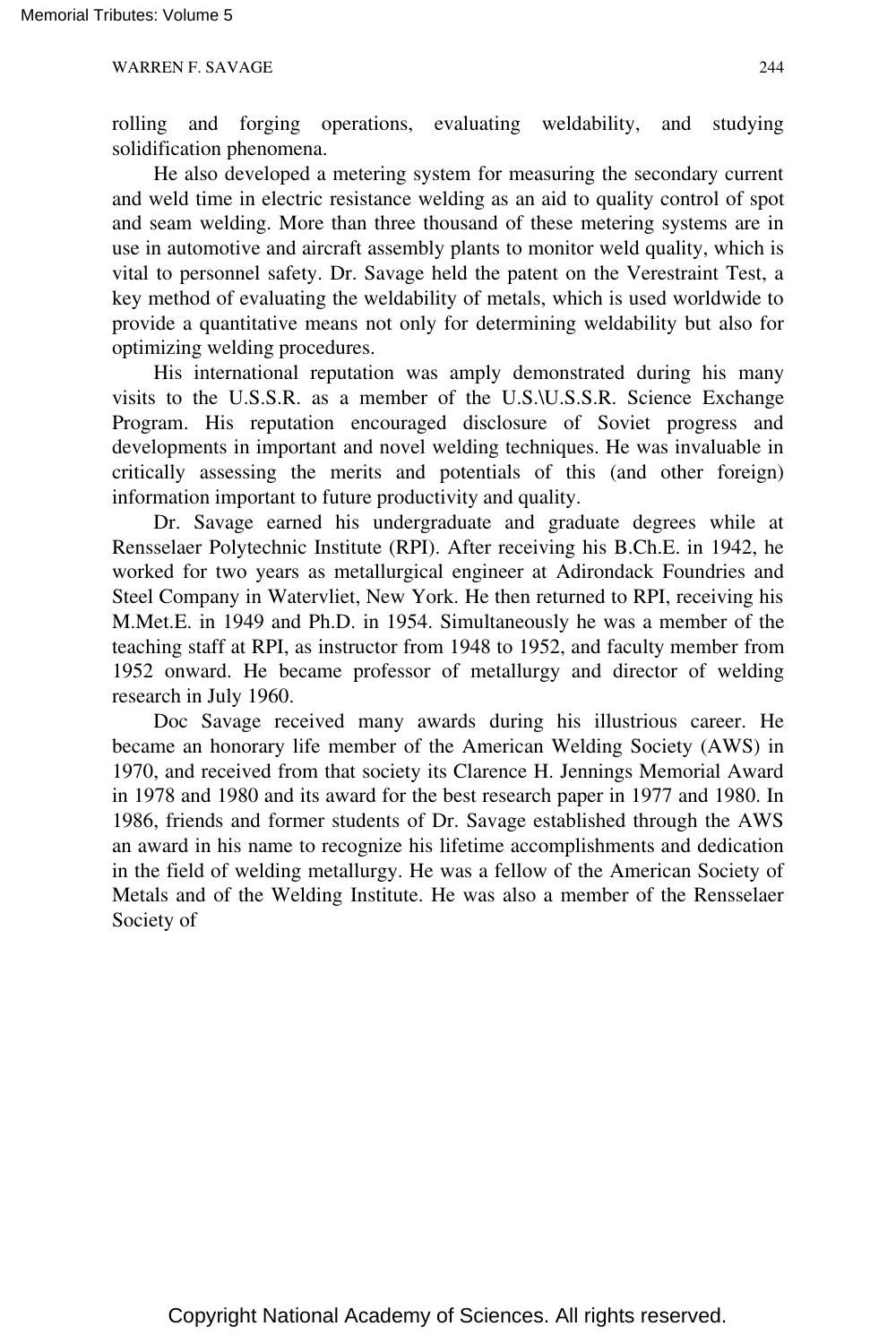rolling and forging operations, evaluating weldability, and studying solidification phenomena.

He also developed a metering system for measuring the secondary current and weld time in electric resistance welding as an aid to quality control of spot and seam welding. More than three thousand of these metering systems are in use in automotive and aircraft assembly plants to monitor weld quality, which is vital to personnel safety. Dr. Savage held the patent on the Verestraint Test, a key method of evaluating the weldability of metals, which is used worldwide to provide a quantitative means not only for determining weldability but also for optimizing welding procedures.

His international reputation was amply demonstrated during his many visits to the U.S.S.R. as a member of the U.S.\U.S.S.R. Science Exchange Program. His reputation encouraged disclosure of Soviet progress and developments in important and novel welding techniques. He was invaluable in critically assessing the merits and potentials of this (and other foreign) information important to future productivity and quality.

Dr. Savage earned his undergraduate and graduate degrees while at Rensselaer Polytechnic Institute (RPI). After receiving his B.Ch.E. in 1942, he worked for two years as metallurgical engineer at Adirondack Foundries and Steel Company in Watervliet, New York. He then returned to RPI, receiving his M.Met.E. in 1949 and Ph.D. in 1954. Simultaneously he was a member of the teaching staff at RPI, as instructor from 1948 to 1952, and faculty member from 1952 onward. He became professor of metallurgy and director of welding research in July 1960.

Doc Savage received many awards during his illustrious career. He became an honorary life member of the American Welding Society (AWS) in 1970, and received from that society its Clarence H. Jennings Memorial Award in 1978 and 1980 and its award for the best research paper in 1977 and 1980. In 1986, friends and former students of Dr. Savage established through the AWS an award in his name to recognize his lifetime accomplishments and dedication in the field of welding metallurgy. He was a fellow of the American Society of Metals and of the Welding Institute. He was also a member of the Rensselaer Society of